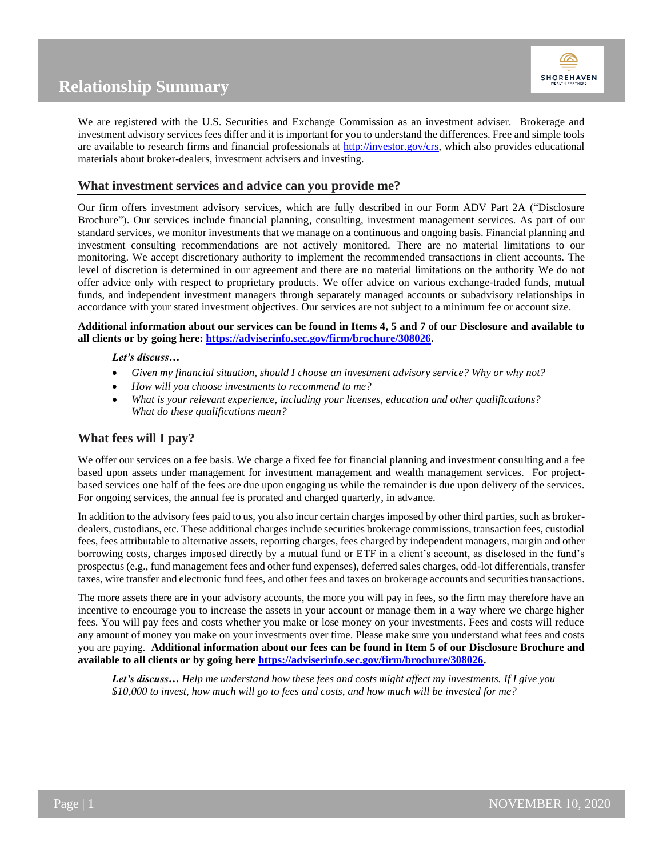



We are registered with the U.S. Securities and Exchange Commission as an investment adviser. Brokerage and investment advisory services fees differ and it is important for you to understand the differences. Free and simple tools are available to research firms and financial professionals at [http://investor.gov/crs,](http://investor.gov/crs) which also provides educational materials about broker-dealers, investment advisers and investing.

## **What investment services and advice can you provide me?**

Our firm offers investment advisory services, which are fully described in our Form ADV Part 2A ("Disclosure Brochure"). Our services include financial planning, consulting, investment management services. As part of our standard services, we monitor investments that we manage on a continuous and ongoing basis. Financial planning and investment consulting recommendations are not actively monitored. There are no material limitations to our monitoring. We accept discretionary authority to implement the recommended transactions in client accounts. The level of discretion is determined in our agreement and there are no material limitations on the authority We do not offer advice only with respect to proprietary products. We offer advice on various exchange-traded funds, mutual funds, and independent investment managers through separately managed accounts or subadvisory relationships in accordance with your stated investment objectives. Our services are not subject to a minimum fee or account size.

### **Additional information about our services can be found in Items 4, 5 and 7 of our Disclosure and available to all clients or by going here: [https://adviserinfo.sec.gov/firm/brochure/308026.](https://adviserinfo.sec.gov/firm/brochure/308026)**

### *Let's discuss…*

- *Given my financial situation, should I choose an investment advisory service? Why or why not?*
- *How will you choose investments to recommend to me?*
- *What is your relevant experience, including your licenses, education and other qualifications? What do these qualifications mean?*

## **What fees will I pay?**

We offer our services on a fee basis. We charge a fixed fee for financial planning and investment consulting and a fee based upon assets under management for investment management and wealth management services. For projectbased services one half of the fees are due upon engaging us while the remainder is due upon delivery of the services. For ongoing services, the annual fee is prorated and charged quarterly, in advance.

In addition to the advisory fees paid to us, you also incur certain charges imposed by other third parties, such as brokerdealers, custodians, etc. These additional charges include securities brokerage commissions, transaction fees, custodial fees, fees attributable to alternative assets, reporting charges, fees charged by independent managers, margin and other borrowing costs, charges imposed directly by a mutual fund or ETF in a client's account, as disclosed in the fund's prospectus (e.g., fund management fees and other fund expenses), deferred sales charges, odd-lot differentials, transfer taxes, wire transfer and electronic fund fees, and other fees and taxes on brokerage accounts and securities transactions.

The more assets there are in your advisory accounts, the more you will pay in fees, so the firm may therefore have an incentive to encourage you to increase the assets in your account or manage them in a way where we charge higher fees. You will pay fees and costs whether you make or lose money on your investments. Fees and costs will reduce any amount of money you make on your investments over time. Please make sure you understand what fees and costs you are paying. **Additional information about our fees can be found in Item 5 of our Disclosure Brochure and available to all clients or by going her[e https://adviserinfo.sec.gov/firm/brochure/308026.](https://adviserinfo.sec.gov/firm/brochure/308026)** 

*Let's discuss… Help me understand how these fees and costs might affect my investments. If I give you \$10,000 to invest, how much will go to fees and costs, and how much will be invested for me?*